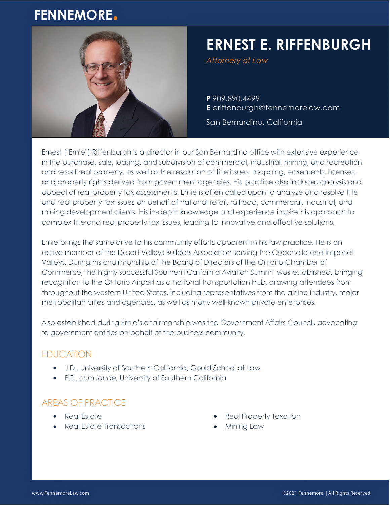# **FENNEMORE.**



# **ERNEST E. RIFFENBURGH**

Attornery at Law

P 909.890.4499 E eriffenburgh@fennemorelaw.com

San Bernardino, California

Ernest ("Ernie") Riffenburgh is a director in our San Bernardino office with extensive experience in the purchase, sale, leasing, and subdivision of commercial, industrial, mining, and recreation and resort real property, as well as the resolution of title issues, mapping, easements, licenses, and property rights derived from government agencies. His practice also includes analysis and appeal of real property tax assessments. Ernie is often called upon to analyze and resolve title and real property tax issues on behalf of national retail, railroad, commercial, industrial, and mining development clients. His in-depth knowledge and experience inspire his approach to complex title and real property tax issues, leading to innovative and effective solutions.

Ernie brings the same drive to his community efforts apparent in his law practice. He is an active member of the Desert Valleys Builders Association serving the Coachella and Imperial Valleys. During his chairmanship of the Board of Directors of the Ontario Chamber of Commerce, the highly successful Southern California Aviation Summit was established, bringing recognition to the Ontario Airport as a national transportation hub, drawing attendees from throughout the western United States, including representatives from the airline industry, major metropolitan cities and agencies, as well as many well-known private enterprises.

Also established during Ernie's chairmanship was the Government Affairs Council, advocating to government entities on behalf of the business community.

# EDUCATION

- J.D., University of Southern California, Gould School of Law
- B.S., *cum laude*, University of Southern California

# AREAS OF PRACTICE

- Real Estate
- Real Estate Transactions
- Real Property Taxation
- Mining Law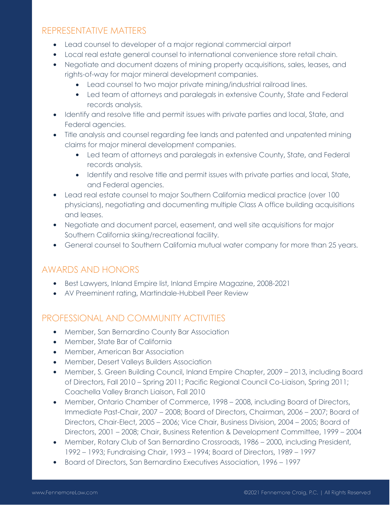#### REPRESENTATIVE MATTERS

- Lead counsel to developer of a major regional commercial airport
- Local real estate general counsel to international convenience store retail chain.
- Negotiate and document dozens of mining property acquisitions, sales, leases, and rights-of-way for major mineral development companies.
	- Lead counsel to two major private mining/industrial railroad lines.
	- Led team of attorneys and paralegals in extensive County, State and Federal records analysis.
- Identify and resolve title and permit issues with private parties and local, State, and Federal agencies.
- Title analysis and counsel regarding fee lands and patented and unpatented mining claims for major mineral development companies.
	- Led team of attorneys and paralegals in extensive County, State, and Federal records analysis.
	- Identify and resolve title and permit issues with private parties and local, State, and Federal agencies.
- Lead real estate counsel to major Southern California medical practice (over 100 physicians), negotiating and documenting multiple Class A office building acquisitions and leases.
- Negotiate and document parcel, easement, and well site acquisitions for major Southern California skiing/recreational facility.
- General counsel to Southern California mutual water company for more than 25 years.

#### AWARDS AND HONORS

- Best Lawyers, Inland Empire list, Inland Empire Magazine, 2008-2021
- AV Preeminent rating, Martindale-Hubbell Peer Review

# PROFESSIONAL AND COMMUNITY ACTIVITIES

- Member, San Bernardino County Bar Association
- Member, State Bar of California
- Member, American Bar Association
- **•** Member, Desert Valleys Builders Association
- Member, S. Green Building Council, Inland Empire Chapter, 2009 2013, including Board of Directors, Fall 2010 – Spring 2011; Pacific Regional Council Co-Liaison, Spring 2011; Coachella Valley Branch Liaison, Fall 2010
- Member, Ontario Chamber of Commerce, 1998 2008, including Board of Directors, Immediate Past-Chair, 2007 – 2008; Board of Directors, Chairman, 2006 – 2007; Board of Directors, Chair-Elect, 2005 – 2006; Vice Chair, Business Division, 2004 – 2005; Board of Directors, 2001 – 2008; Chair, Business Retention & Development Committee, 1999 – 2004
- Member, Rotary Club of San Bernardino Crossroads, 1986 2000, including President, 1992 – 1993; Fundraising Chair, 1993 – 1994; Board of Directors, 1989 – 1997
- Board of Directors, San Bernardino Executives Association, 1996 1997